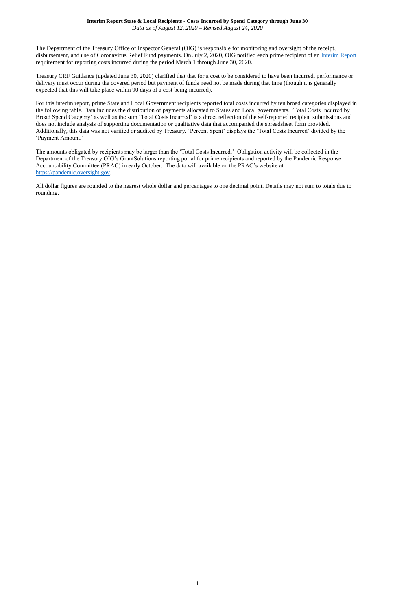1

The Department of the Treasury Office of Inspector General (OIG) is responsible for monitoring and oversight of the receipt, disbursement, and use of Coronavirus Relief Fund payments. On July 2, 2020, OIG notified each prime recipient of an *Interim Report* requirement for reporting costs incurred during the period March 1 through June 30, 2020.

Treasury CRF Guidance (updated June 30, 2020) clarified that that for a cost to be considered to have been incurred, performance or delivery must occur during the covered period but payment of funds need not be made during that time (though it is generally expected that this will take place within 90 days of a cost being incurred).

For this interim report, prime State and Local Government recipients reported total costs incurred by ten broad categories displayed in the following table. Data includes the distribution of payments allocated to States and Local governments. 'Total Costs Incurred by Broad Spend Category' as well as the sum 'Total Costs Incurred' is a direct reflection of the self-reported recipient submissions and does not include analysis of supporting documentation or qualitative data that accompanied the spreadsheet form provided. Additionally, this data was not verified or audited by Treasury. 'Percent Spent' displays the 'Total Costs Incurred' divided by the 'Payment Amount.'

The amounts obligated by recipients may be larger than the 'Total Costs Incurred.' Obligation activity will be collected in the Department of the Treasury OIG's GrantSolutions reporting portal for prime recipients and reported by the Pandemic Response Accountability Committee (PRAC) in early October. The data will available on the PRAC's website at [https://pandemic.oversight.gov.](https://pandemic.oversight.gov/)

All dollar figures are rounded to the nearest whole dollar and percentages to one decimal point. Details may not sum to totals due to rounding.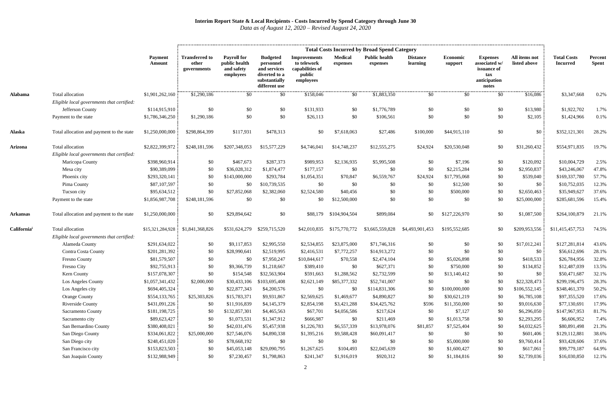|                         |                                            | <b>Total Costs Incurred by Broad Spend Category</b> |                                               |                                                                |                                                                                                 |                                                                              |                            |                                  |                             |                     |                                                                                 |                               |                                       |                         |
|-------------------------|--------------------------------------------|-----------------------------------------------------|-----------------------------------------------|----------------------------------------------------------------|-------------------------------------------------------------------------------------------------|------------------------------------------------------------------------------|----------------------------|----------------------------------|-----------------------------|---------------------|---------------------------------------------------------------------------------|-------------------------------|---------------------------------------|-------------------------|
|                         |                                            | <b>Payment</b><br>Amount                            | <b>Transferred to</b><br>other<br>governments | <b>Payroll for</b><br>public health<br>and safety<br>employees | <b>Budgeted</b><br>personnel<br>and services<br>diverted to a<br>substantially<br>different use | <b>Improvements</b><br>to telework<br>capabilities of<br>public<br>employees | <b>Medical</b><br>expenses | <b>Public health</b><br>expenses | <b>Distance</b><br>learning | Economic<br>support | <b>Expenses</b><br>associated w/<br>issuance of<br>tax<br>anticipation<br>notes | All items not<br>listed above | <b>Total Costs</b><br><b>Incurred</b> | Percent<br><b>Spent</b> |
| <b>Alabama</b>          | Total allocation                           | \$1,901,262,160                                     | \$1,290,186                                   | \$0                                                            | \$0                                                                                             | \$158,046                                                                    | \$0                        | \$1,883,350                      | \$0                         | \$0                 | \$0                                                                             | \$16,086                      | \$3,347,668                           | 0.2%                    |
|                         | Eligible local governments that certified: |                                                     |                                               |                                                                |                                                                                                 |                                                                              |                            |                                  |                             |                     |                                                                                 |                               |                                       |                         |
|                         | Jefferson County                           | \$114,915,910                                       | \$0                                           | \$0                                                            | \$0                                                                                             | \$131,933                                                                    | \$0                        | \$1,776,789                      | \$0                         | \$0                 | \$0                                                                             | \$13,980                      | \$1,922,702                           | 1.7%                    |
|                         | Payment to the state                       | \$1,786,346,250                                     | \$1,290,186                                   | \$0                                                            | \$0                                                                                             | \$26,113                                                                     | \$0                        | \$106,561                        | \$0                         | \$0                 | \$0                                                                             | \$2,105                       | \$1,424,966                           | 0.1%                    |
| <b>Alaska</b>           | Total allocation and payment to the state  | \$1,250,000,000                                     | \$298,864,399                                 | \$117,931                                                      | \$478,313                                                                                       | \$0                                                                          | \$7,618,063                | \$27,486                         | \$100,000                   | \$44,915,110        | \$0                                                                             | \$0                           | \$352,121,301                         | 28.2%                   |
| <b>Arizona</b>          | Total allocation                           | \$2,822,399,972                                     | \$248,181,596                                 | \$207,348,053                                                  | \$15,577,229                                                                                    | \$4,746,041                                                                  | \$14,748,237               | \$12,555,275                     | \$24,924                    | \$20,530,048        | \$0                                                                             | \$31,260,432                  | \$554,971,835                         | 19.7%                   |
|                         | Eligible local governments that certified: |                                                     |                                               |                                                                |                                                                                                 |                                                                              |                            |                                  |                             |                     |                                                                                 |                               |                                       |                         |
|                         | Maricopa County                            | \$398,960,914                                       | \$0                                           | \$467,673                                                      | \$287,373                                                                                       | \$989,953                                                                    | \$2,136,935                | \$5,995,508                      | \$0                         | \$7,196             | \$0                                                                             | \$120,092                     | \$10,004,729                          | 2.5%                    |
|                         | Mesa city                                  | \$90,389,099                                        | \$0                                           | \$36,028,312                                                   | \$1,874,477                                                                                     | \$177,157                                                                    | \$0                        | \$0                              | \$0                         | \$2,215,284         | \$0                                                                             | \$2,950,837                   | \$43,246,067                          | 47.8%                   |
|                         | Phoenix city                               | \$293,320,141                                       | \$0                                           | \$143,000,000                                                  | \$293,784                                                                                       | \$1,054,351                                                                  | \$70,847                   | \$6,559,767                      | \$24,924                    | \$17,795,068        | \$0                                                                             | \$539,040                     | \$169,337,780                         | 57.7%                   |
|                         | Pima County                                | \$87,107,597                                        | \$0                                           | \$0                                                            | \$10,739,535                                                                                    | \$0                                                                          | \$0                        | \$0                              | \$0                         | \$12,500            | \$0                                                                             | \$0                           | \$10,752,035                          | 12.3%                   |
|                         | Tucson city                                | \$95,634,512                                        | \$0                                           | \$27,852,068                                                   | \$2,382,060                                                                                     | \$2,524,580                                                                  | \$40,456                   | \$0                              | \$0                         | \$500,000           | \$0                                                                             | \$2,650,463                   | \$35,949,627                          | 37.6%                   |
|                         | Payment to the state                       | \$1,856,987,708                                     | \$248,181,596                                 | \$0                                                            | \$0                                                                                             | \$0                                                                          | \$12,500,000               | \$0                              | \$0                         | \$0                 | \$0                                                                             | \$25,000,000                  | \$285,681,596                         | 15.4%                   |
| <b>Arkansas</b>         | Total allocation and payment to the state  | \$1,250,000,000                                     | \$0                                           | \$29,894,642                                                   | \$0                                                                                             | \$88,179                                                                     | \$104,904,504              | \$899,084                        | \$0                         | \$127,226,970       | \$0                                                                             | \$1,087,500                   | \$264,100,879                         | 21.1%                   |
| California <sup>i</sup> | Total allocation                           | \$15,321,284,928                                    | \$1,841,368,826                               | \$531,624,279                                                  | \$259,715,520                                                                                   | \$42,010,835                                                                 | \$175,770,772              | \$3,665,559,828                  | \$4,493,901,453             | \$195,552,685       | \$0                                                                             | \$209,953,556                 | \$11,415,457,753                      | 74.5%                   |
|                         | Eligible local governments that certified: |                                                     |                                               |                                                                |                                                                                                 |                                                                              |                            |                                  |                             |                     |                                                                                 |                               |                                       |                         |
|                         | Alameda County                             | \$291,634,022                                       | \$0                                           | \$9,117,853                                                    | \$2,995,550                                                                                     | \$2,534,855                                                                  | \$23,875,000               | \$71,746,316                     | \$0                         | \$0                 | \$0                                                                             | \$17,012,241                  | \$127,281,814                         | 43.6%                   |
|                         | <b>Contra Costa County</b>                 | \$201,281,392                                       | \$0                                           | \$28,990,641                                                   | \$2,519,995                                                                                     | \$2,416,531                                                                  | \$7,772,257                | \$14,913,272                     | \$0                         | \$0                 | \$0                                                                             | \$0                           | \$56,612,696                          | 28.1%                   |
|                         | <b>Fresno County</b>                       | \$81,579,507                                        | \$0                                           | \$0                                                            | \$7,950,247                                                                                     | \$10,844,617                                                                 | \$70,558                   | \$2,474,104                      | \$0                         | \$5,026,898         | \$0                                                                             | \$418,533                     | \$26,784,956                          | 32.8%                   |
|                         | Fresno City                                | \$92,755,913                                        | \$0                                           | \$9,366,739                                                    | \$1,218,667                                                                                     | \$389,410                                                                    | \$0                        | \$627,371                        | \$0                         | \$750,000           | \$0                                                                             | \$134,852                     | \$12,487,039                          | 13.5%                   |
|                         | Kern County                                | \$157,078,307                                       | \$0                                           | \$154,548                                                      | \$32,563,904                                                                                    | \$591,663                                                                    | \$1,288,562                | \$2,732,599                      | \$0                         | \$13,140,412        | \$0                                                                             | \$0                           | \$50,471,687                          | 32.1%                   |
|                         | Los Angeles County                         | \$1,057,341,432                                     | \$2,000,000                                   | \$30,433,106                                                   | \$103,695,408                                                                                   | \$2,621,149                                                                  | \$85,377,332               | \$52,741,007                     | \$0                         | \$0                 | \$0                                                                             | \$22,328,473                  | \$299,196,475                         | 28.3%                   |
|                         | Los Angeles city                           | \$694,405,324                                       | \$0                                           | \$22,877,343                                                   | \$4,200,576                                                                                     | \$0                                                                          | \$0                        | \$114,831,306                    | \$0                         | \$100,000,000       | \$0                                                                             | \$106,552,145                 | \$348,461,370                         | 50.2%                   |
|                         | <b>Orange County</b>                       | \$554,133,765                                       | \$25,303,826                                  | \$15,783,371                                                   | \$9,931,867                                                                                     | \$2,569,625                                                                  | \$1,469,677                | \$4,890,827                      | \$0                         | \$30,621,219        | \$0                                                                             | \$6,785,108                   | \$97,355,520                          | 17.6%                   |
|                         | Riverside County                           | \$431,091,226                                       | \$0                                           | \$11,916,839                                                   | \$4,145,379                                                                                     | \$2,854,198                                                                  | \$3,421,288                | \$34,425,762                     | \$596                       | \$11,350,000        | \$0                                                                             | \$9,016,630                   | \$77,130,691                          | 17.9%                   |
|                         | Sacramento County                          | \$181,198,725                                       | \$0                                           | \$132,857,301                                                  | \$4,465,563                                                                                     | \$67,701                                                                     | \$4,056,586                | \$217,624                        | \$0                         | \$7,127             | \$0                                                                             | \$6,296,050                   | \$147,967,953                         | 81.7%                   |
|                         | Sacramento city                            | \$89,623,427                                        | \$0                                           | \$1,073,531                                                    | \$1,347,912                                                                                     | \$666,987                                                                    | \$0                        | \$211,469                        | \$0                         | \$1,013,758         | \$0                                                                             | \$2,293,295                   | \$6,606,952                           | 7.4%                    |
|                         | San Bernardino County                      | \$380,408,021                                       | \$0                                           | \$42,031,476                                                   | \$5,457,938                                                                                     | \$1,226,783                                                                  | \$6,557,339                | \$13,978,076                     | \$81,857                    | \$7,525,404         | \$0                                                                             | \$4,032,625                   | \$80,891,498                          | 21.3%                   |
|                         | San Diego County                           | \$334,061,822                                       | \$25,000,000                                  | \$27,546,076                                                   | \$4,890,338                                                                                     | \$1,395,216                                                                  | \$9,588,428                | \$60,091,417                     | \$0                         | \$0                 | \$0                                                                             | \$601,406                     | \$129,112,881                         | 38.6%                   |
|                         | San Diego city                             | \$248,451,020                                       | \$0                                           | \$78,668,192                                                   | \$0                                                                                             | \$0                                                                          | \$0                        | \$0                              | \$0                         | \$5,000,000         | \$0                                                                             | \$9,760,414                   | \$93,428,606                          | 37.6%                   |
|                         | San Francisco city                         | \$153,823,503                                       | \$0                                           | \$45,053,148                                                   | \$29,090,795                                                                                    | \$1,267,625                                                                  | \$104,493                  | \$22,045,639                     | \$0                         | \$1,600,427         | \$0                                                                             | \$617,061                     | \$99,779,187                          | 64.9%                   |
|                         | San Joaquin County                         | \$132,988,949                                       | \$0                                           | \$7,230,457                                                    | \$1,798,863                                                                                     | \$241,347                                                                    | \$1,916,019                | \$920,312                        | \$0                         | \$1,184,816         | \$0                                                                             | \$2,739,036                   | \$16,030,850                          | 12.1%                   |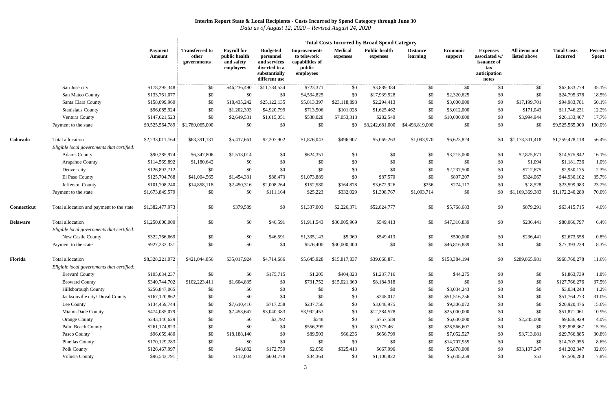|                 |                                                                |                          |                                               |                                                                |                                                                                                 |                                                                              |                            | <b>Total Costs Incurred by Broad Spend Category</b> |                             |                            |                                                                                 |                               |                                       |                         |
|-----------------|----------------------------------------------------------------|--------------------------|-----------------------------------------------|----------------------------------------------------------------|-------------------------------------------------------------------------------------------------|------------------------------------------------------------------------------|----------------------------|-----------------------------------------------------|-----------------------------|----------------------------|---------------------------------------------------------------------------------|-------------------------------|---------------------------------------|-------------------------|
|                 |                                                                | <b>Payment</b><br>Amount | <b>Transferred to</b><br>other<br>governments | <b>Payroll for</b><br>public health<br>and safety<br>employees | <b>Budgeted</b><br>personnel<br>and services<br>diverted to a<br>substantially<br>different use | <b>Improvements</b><br>to telework<br>capabilities of<br>public<br>employees | <b>Medical</b><br>expenses | <b>Public health</b><br>expenses                    | <b>Distance</b><br>learning | <b>Economic</b><br>support | <b>Expenses</b><br>associated w/<br>issuance of<br>tax<br>anticipation<br>notes | All items not<br>listed above | <b>Total Costs</b><br><b>Incurred</b> | Percent<br><b>Spent</b> |
|                 | San Jose city                                                  | \$178,295,348            | \$0                                           | \$46,236,490                                                   | \$11,784,534                                                                                    | \$723,371                                                                    | \$0                        | \$3,889,384                                         | \$0                         | \$0                        | \$0                                                                             | \$0                           | \$62,633,779                          | 35.1%                   |
|                 | San Mateo County                                               | \$133,761,077            | \$0                                           | \$0                                                            | \$0                                                                                             | \$4,534,825                                                                  | \$0                        | \$17,939,928                                        | \$0                         | \$2,320,625                | \$0                                                                             | \$0                           | \$24,795,378                          | 18.5%                   |
|                 | Santa Clara County                                             | \$158,099,960            | \$0                                           | \$18,435,242                                                   | \$25,122,135                                                                                    | \$5,813,397                                                                  | \$23,118,893               | \$2,294,413                                         | \$0                         | \$3,000,000                | \$0                                                                             | \$17,199,701                  | \$94,983,781                          | 60.1%                   |
|                 | <b>Stanislaus County</b>                                       | \$96,085,924             | \$0                                           | \$1,202,393                                                    | \$4,920,799                                                                                     | \$713,506                                                                    | \$101,028                  | \$1,625,462                                         | \$0                         | \$3,012,000                | \$0                                                                             | \$171,043                     | \$11,746,231                          | 12.2%                   |
|                 | Ventura County                                                 | \$147,621,523            | \$0                                           | \$2,649,531                                                    | \$1,615,051                                                                                     | \$538,028                                                                    | \$7,053,313                | \$282,540                                           | \$0                         | \$10,000,000               | \$0                                                                             | \$3,994,944                   | \$26,133,407                          | 17.7%                   |
|                 | Payment to the state                                           | \$9,525,564,789          | \$1,789,065,000                               | \$0                                                            | \$0                                                                                             | \$0                                                                          | \$0                        | \$3,242,681,000                                     | \$4,493,819,000             | \$0                        | \$0                                                                             | \$0                           | \$9,525,565,000                       | 100.0%                  |
| Colorado        | Total allocation<br>Eligible local governments that certified: | \$2,233,011,164          | \$63,391,131                                  | \$5,417,661                                                    | \$2,207,902                                                                                     | \$1,876,043                                                                  | \$496,907                  | \$5,069,263                                         | \$1,093,970                 | \$6,623,824                | \$0                                                                             | \$1,173,301,418               | \$1,259,478,118                       | 56.4%                   |
|                 | <b>Adams County</b>                                            | \$90,285,974             | \$6,347,806                                   | \$1,513,014                                                    | \$0                                                                                             | \$624,351                                                                    | \$0                        | \$0                                                 | \$0                         | \$3,215,000                | \$0                                                                             | \$2,875,671                   | \$14,575,842                          | 16.1%                   |
|                 | Arapahoe County                                                | \$114,569,892            | \$1,180,642                                   | \$0                                                            | \$0                                                                                             | \$0                                                                          | \$0                        | \$0                                                 | \$0                         | \$0                        | \$0                                                                             | \$1,094                       | \$1,181,736                           | 1.0%                    |
|                 | Denver city                                                    | \$126,892,712            | \$0                                           | \$0                                                            | \$0                                                                                             | \$0                                                                          | \$0                        | \$0                                                 | \$0                         | \$2,237,500                | \$0                                                                             | \$712,675                     | \$2,950,175                           | 2.3%                    |
|                 | El Paso County                                                 | \$125,704,768            | \$41,004,565                                  | \$1,454,331                                                    | \$88,473                                                                                        | \$1,073,889                                                                  | \$0                        | \$87,570                                            | \$0                         | \$897,207                  | \$0                                                                             | \$324,067                     | \$44,930,102                          | 35.7%                   |
|                 | Jefferson County                                               | \$101,708,240            | \$14,858,118                                  | \$2,450,316                                                    | \$2,008,264                                                                                     | \$152,580                                                                    | \$164,878                  | \$3,672,926                                         | \$256                       | \$274,117                  | \$0                                                                             | \$18,528                      | \$23,599,983                          | 23.2%                   |
|                 | Payment to the state                                           | \$1,673,849,579          | \$0                                           | \$0                                                            | \$111,164                                                                                       | \$25,223                                                                     | \$332,029                  | \$1,308,767                                         | \$1,093,714                 | \$0                        | \$0                                                                             | \$1,169,369,383               | \$1,172,240,280                       | 70.0%                   |
| Connecticut     | Total allocation and payment to the state                      | \$1,382,477,973          | \$0                                           | \$379,589                                                      | \$0                                                                                             | \$1,337,003                                                                  | \$2,226,371                | \$52,824,777                                        | \$0                         | \$5,768,683                | \$0                                                                             | \$879,291                     | \$63,415,715                          | 4.6%                    |
| <b>Delaware</b> | Total allocation<br>Eligible local governments that certified: | \$1,250,000,000          | \$0                                           | \$0                                                            | \$46,591                                                                                        | \$1,911,543                                                                  | \$30,005,969               | \$549,413                                           | \$0                         | \$47,316,839               | \$0                                                                             | \$236,441                     | \$80,066,797                          | 6.4%                    |
|                 | New Castle County                                              | \$322,766,669            | \$0                                           | \$0                                                            | \$46,591                                                                                        | \$1,335,143                                                                  | \$5,969                    | \$549,413                                           | \$0                         | \$500,000                  | \$0                                                                             | \$236,441                     | \$2,673,558                           | 0.8%                    |
|                 | Payment to the state                                           | \$927,233,331            | \$0                                           | \$0                                                            | \$0                                                                                             | \$576,400                                                                    | \$30,000,000               | \$0                                                 | \$0                         | \$46,816,839               | \$0                                                                             | \$0                           | \$77,393,239                          | 8.3%                    |
| Florida         | Total allocation<br>Eligible local governments that certified: | \$8,328,221,072          | \$421,044,856                                 | \$35,017,924                                                   | \$4,714,686                                                                                     | \$5,645,928                                                                  | \$15,817,837               | \$39,068,871                                        | \$0                         | \$158,384,194              | \$0                                                                             | \$289,065,981                 | \$968,760,278                         | 11.6%                   |
|                 | <b>Brevard County</b>                                          | \$105,034,237            | \$0                                           | \$0                                                            | \$175,715                                                                                       | \$1,205                                                                      | \$404,828                  | \$1,237,716                                         | \$0                         | \$44,275                   | \$0                                                                             | $\$0$                         | \$1,863,739                           | 1.8%                    |
|                 | <b>Broward County</b>                                          | \$340,744,702            | \$102,223,411                                 | \$1,604,835                                                    | \$0                                                                                             | \$731,752                                                                    | \$15,021,360               | \$8,184,918                                         | \$0                         | \$0                        | \$0                                                                             | \$0                           | \$127,766,276                         | 37.5%                   |
|                 | Hillsborough County                                            | \$256,847,065            | \$0                                           | \$0                                                            | \$0                                                                                             | \$0                                                                          | \$0                        | \$0                                                 | \$0                         | \$3,034,243                | \$0                                                                             | \$0                           | \$3,034,243                           | 1.2%                    |
|                 | Jacksonville city/ Duval County                                | \$167,120,862            | \$0                                           | \$0                                                            | \$0                                                                                             | \$0                                                                          | \$0                        | \$248,017                                           | \$0                         | \$51,516,256               | \$0                                                                             | \$0                           | \$51,764,273                          | 31.0%                   |
|                 | Lee County                                                     | \$134,459,744            | \$0                                           | \$7,610,416                                                    | \$717,258                                                                                       | \$237,756                                                                    | \$0                        | \$3,048,975                                         | \$0                         | \$9,306,072                | \$0                                                                             | \$0                           | \$20,920,476                          | 15.6%                   |
|                 | Miami-Dade County                                              | \$474,085,079            | \$0                                           | \$7,453,647                                                    | \$3,040,383                                                                                     | \$3,992,453                                                                  | \$0                        | \$12,384,578                                        | \$0                         | \$25,000,000               | \$0                                                                             | \$0                           | \$51,871,061                          | 10.9%                   |
|                 | <b>Orange County</b>                                           | \$243,146,629            | \$0                                           | \$0                                                            | \$3,792                                                                                         | \$548                                                                        | \$0                        | \$757,589                                           | \$0                         | \$6,630,000                | \$0                                                                             | \$2,245,000                   | \$9,636,929                           | 4.0%                    |
|                 | Palm Beach County                                              | \$261,174,823            | \$0                                           | \$0                                                            | \$0                                                                                             | \$556,299                                                                    | \$0                        | \$10,775,461                                        | \$0                         | \$28,566,607               | \$0                                                                             | \$0                           | \$39,898,367                          | 15.3%                   |
|                 | Pasco County                                                   | \$96,659,480             | \$0                                           | \$18,188,140                                                   | \$0                                                                                             | \$89,503                                                                     | \$66,236                   | \$656,799                                           | \$0                         | \$7,052,527                | \$0                                                                             | \$3,713,681                   | \$29,766,885                          | 30.8%                   |
|                 | <b>Pinellas County</b>                                         | \$170,129,283            | \$0                                           | \$0                                                            | \$0                                                                                             | \$0                                                                          | \$0                        | \$0                                                 | \$0                         | \$14,707,955               | \$0                                                                             | \$0                           | \$14,707,955                          | 8.6%                    |
|                 | Polk County                                                    | \$126,467,997            | \$0                                           | \$48,882                                                       | \$172,759                                                                                       | \$2,050                                                                      | \$325,413                  | \$667,996                                           | \$0                         | \$6,878,000                | \$0                                                                             | \$33,107,247                  | \$41,202,347                          | 32.6%                   |
|                 | Volusia County                                                 | \$96,543,791             | \$0                                           | \$112,004                                                      | \$604,778                                                                                       | \$34,364                                                                     | \$0                        | \$1,106,822                                         | \$0                         | \$5,648,259                | \$0                                                                             | \$53                          | \$7,506,280                           | 7.8%                    |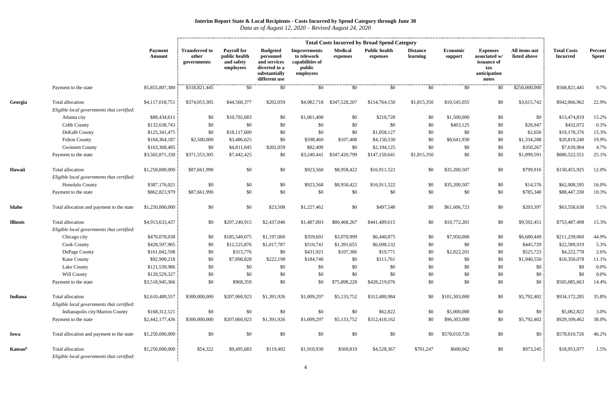|                 |                                                                |                                 |                                               |                                                                |                                                                                                 |                                                                              |                            | <b>Total Costs Incurred by Broad Spend Category</b> |                             |                     |                                                                                 |                               |                                       |                         |
|-----------------|----------------------------------------------------------------|---------------------------------|-----------------------------------------------|----------------------------------------------------------------|-------------------------------------------------------------------------------------------------|------------------------------------------------------------------------------|----------------------------|-----------------------------------------------------|-----------------------------|---------------------|---------------------------------------------------------------------------------|-------------------------------|---------------------------------------|-------------------------|
|                 |                                                                | <b>Payment</b><br><b>Amount</b> | <b>Transferred to</b><br>other<br>governments | <b>Payroll for</b><br>public health<br>and safety<br>employees | <b>Budgeted</b><br>personnel<br>and services<br>diverted to a<br>substantially<br>different use | <b>Improvements</b><br>to telework<br>capabilities of<br>public<br>employees | <b>Medical</b><br>expenses | <b>Public health</b><br>expenses                    | <b>Distance</b><br>learning | Economic<br>support | <b>Expenses</b><br>associated w/<br>issuance of<br>tax<br>anticipation<br>notes | All items not<br>listed above | <b>Total Costs</b><br><b>Incurred</b> | Percent<br><b>Spent</b> |
|                 | Payment to the state                                           | \$5,855,807,380                 | \$318,821,445                                 | \$0                                                            | \$0                                                                                             | \$0                                                                          | \$0                        | \$0                                                 | \$0                         | \$0                 | \$0                                                                             | \$250,000,000                 | \$568,821,445                         | 9.7%                    |
| Georgia         | Total allocation                                               | \$4,117,018,751                 | \$374,053,305                                 | \$44,560,377                                                   | \$202,059                                                                                       |                                                                              | \$4,982,718 \$347,528,207  | \$154,764,150                                       | \$1,815,350                 | \$10,545,055        | \$0                                                                             | \$3,615,742                   | \$942,066,962                         | 22.9%                   |
|                 | Eligible local governments that certified:                     |                                 |                                               |                                                                |                                                                                                 |                                                                              |                            |                                                     |                             |                     |                                                                                 |                               |                                       |                         |
|                 | Atlanta city                                                   | \$88,434,611                    | \$0                                           | \$10,702,683                                                   | \$0                                                                                             | \$1,061,408                                                                  | \$0                        | \$210,728                                           | \$0                         | \$1,500,000         | \$0                                                                             | \$0                           | \$13,474,819                          | 15.2%                   |
|                 | Cobb County                                                    | \$132,638,743                   | \$0                                           | \$0                                                            | \$0                                                                                             | \$0                                                                          | \$0                        | \$0                                                 | \$0                         | \$403,125           | \$0                                                                             | \$28,947                      | \$432,072                             | 0.3%                    |
|                 | DeKalb County                                                  | \$125,341,475                   | \$0                                           | \$18,117,600                                                   | \$0                                                                                             | \$0                                                                          | \$0                        | \$1,058,127                                         | \$0                         | \$0                 | \$0                                                                             | \$2,650                       | \$19,178,376                          | 15.3%                   |
|                 | <b>Fulton County</b>                                           | \$104,364,187                   | \$2,500,000                                   | \$3,486,625                                                    | \$0                                                                                             | \$598,460                                                                    | \$107,408                  | \$4,150,530                                         | \$0                         | \$8,641,930         | \$0                                                                             | \$1,334,288                   | \$20,819,240                          | 19.9%                   |
|                 | <b>Gwinnett County</b>                                         | \$163,368,405                   | \$0                                           | \$4,811,045                                                    | \$202,059                                                                                       | \$82,409                                                                     | \$0                        | \$2,194,125                                         | \$0                         | \$0                 | \$0                                                                             | \$350,267                     | \$7,639,904                           | 4.7%                    |
|                 | Payment to the state                                           | \$3,502,871,330                 | \$371,553,305                                 | \$7,442,425                                                    | \$0                                                                                             | \$3,240,441                                                                  | \$347,420,799              | \$147,150,641                                       | \$1,815,350                 | \$0                 | \$0                                                                             | \$1,899,591                   | \$880,522,551                         | 25.1%                   |
| Hawaii          | Total allocation                                               | \$1,250,000,000                 | \$87,661,990                                  | \$0                                                            | \$0                                                                                             | \$923,568                                                                    | \$8,958,422                | \$16,911,522                                        | \$0                         | \$35,200,507        | \$0                                                                             | \$799,916                     | \$150,455,925                         | 12.0%                   |
|                 | Eligible local governments that certified:                     |                                 |                                               |                                                                |                                                                                                 |                                                                              |                            |                                                     |                             |                     |                                                                                 |                               |                                       |                         |
|                 | Honolulu County                                                | \$387,176,021                   | \$0                                           | \$0                                                            | \$0                                                                                             | \$923,568                                                                    | \$8,958,422                | \$16,911,522                                        | \$0                         | \$35,200,507        | \$0                                                                             | \$14,576                      | \$62,008,595                          | 16.0%                   |
|                 | Payment to the state                                           | \$862,823,979                   | \$87,661,990                                  | \$0                                                            | \$0                                                                                             | \$0                                                                          | \$0                        | \$0                                                 | \$0                         | \$0                 | \$0                                                                             | \$785,340                     | \$88,447,330                          | 10.3%                   |
| Idaho           | Total allocation and payment to the state                      | \$1,250,000,000                 | \$0                                           | \$0                                                            | \$23,508                                                                                        | \$1,227,462                                                                  | \$0                        | \$497,548                                           | \$0                         | \$61,606,723        | \$0                                                                             | \$203,397                     | \$63,558,638                          | 5.1%                    |
| <b>Illinois</b> | Total allocation                                               | \$4,913,633,437                 | \$0                                           | \$207,240,915                                                  | \$2,437,046                                                                                     | \$1,487,003                                                                  | \$80,468,267               | \$441,489,615                                       | \$0                         | \$10,772,201        | \$0                                                                             | \$9,592,451                   | \$753,487,498                         | 15.3%                   |
|                 | Eligible local governments that certified:                     |                                 |                                               |                                                                |                                                                                                 |                                                                              |                            |                                                     |                             |                     |                                                                                 |                               |                                       |                         |
|                 | Chicago city                                                   | \$470,078,038                   | \$0                                           | \$185,540,075                                                  | \$1,197,060                                                                                     | \$359,601                                                                    | \$3,070,999                | \$6,440,875                                         | \$0                         | \$7,950,000         | \$0                                                                             | \$6,680,449                   | \$211,239,060                         | 44.9%                   |
|                 | <b>Cook County</b>                                             | \$428,597,905                   | \$0                                           | \$12,525,876                                                   | \$1,017,787                                                                                     | \$510,741                                                                    | \$1,391,655                | \$6,698,132                                         | \$0                         | \$0                 | \$0                                                                             | \$445,729                     | \$22,589,919                          | 5.3%                    |
|                 | DuPage County                                                  | \$161,042,598                   | \$0                                           | \$315,776                                                      | \$0                                                                                             | \$431,921                                                                    | \$107,386                  | \$19,771                                            | \$0                         | \$2,822,201         | \$0                                                                             | \$525,723                     | \$4,222,778                           | 2.6%                    |
|                 | Kane County                                                    | \$92,900,218                    | \$0                                           | \$7,890,828                                                    | \$222,198                                                                                       | \$184,740                                                                    | \$0                        | \$111,761                                           | \$0                         | \$0                 | \$0                                                                             | \$1,940,550                   | \$10,350,078                          | 11.1%                   |
|                 | Lake County                                                    | \$121,539,986                   | \$0                                           | \$0                                                            | \$0                                                                                             | \$0                                                                          | \$0                        | \$0                                                 | \$0                         | \$0                 | \$0                                                                             | \$0                           | \$0                                   | $0.0\%$                 |
|                 | Will County                                                    | \$120,529,327                   | \$0                                           | \$0                                                            | \$0                                                                                             | \$0                                                                          | \$0                        | \$0                                                 | \$0                         | \$0                 | \$0                                                                             | \$0                           | \$0                                   | 0.0%                    |
|                 | Payment to the state                                           | \$3,518,945,366                 | \$0                                           | \$968,359                                                      | \$0                                                                                             | \$0                                                                          | \$75,898,228               | \$428,219,076                                       | \$0                         | \$0                 | \$0                                                                             | \$0                           | \$505,085,663                         | 14.4%                   |
| Indiana         | Total allocation                                               | \$2,610,489,557                 | \$300,000,000                                 | \$207,060,923                                                  | \$1,391,926                                                                                     | \$1,009,297                                                                  | \$5,133,752                | \$312,480,984                                       | \$0                         | \$101,303,000       | \$0                                                                             | \$5,792,402                   | \$934,172,285                         | 35.8%                   |
|                 | Eligible local governments that certified:                     |                                 |                                               |                                                                |                                                                                                 |                                                                              |                            |                                                     |                             |                     |                                                                                 |                               |                                       |                         |
|                 | Indianapolis city/Marion County                                | \$168,312,121                   | \$0                                           | \$0                                                            | \$0                                                                                             | \$0                                                                          | \$0                        | \$62,822                                            | \$0                         | \$5,000,000         | \$0                                                                             | \$0                           | \$5,062,822                           | 3.0%                    |
|                 | Payment to the state                                           | \$2,442,177,436                 | \$300,000,000                                 | \$207,060,923                                                  | \$1,391,926                                                                                     | \$1,009,297                                                                  | \$5,133,752                | \$312,418,162                                       | \$0                         | \$96,303,000        | \$0                                                                             | \$5,792,402                   | \$929,109,462                         | 38.0%                   |
| Iowa            | Total allocation and payment to the state                      | \$1,250,000,000                 | \$0                                           | \$0                                                            | \$0                                                                                             | \$0                                                                          | \$0                        | \$0                                                 | \$0                         | \$578,010,726       | \$0                                                                             | \$0                           | \$578,010,726                         | 46.2%                   |
| Kansasii        | Total allocation<br>Eligible local governments that certified: | \$1,250,000,000                 | \$54,322                                      | \$9,495,683                                                    | \$119,402                                                                                       | \$1,910,930                                                                  | \$569,819                  | \$4,528,367                                         | \$701,247                   | \$600,062           | \$0                                                                             | \$973,245                     | \$18,953,077                          | 1.5%                    |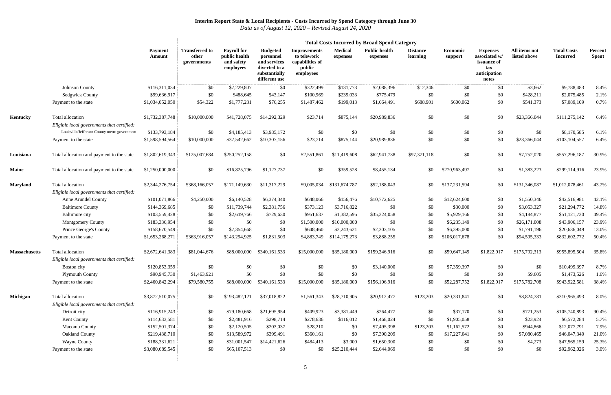|                      |                                                                   |                                | <b>Total Costs Incurred by Broad Spend Category</b> |                                                                |                                                                                                 |                                                                              |                            |                                  |                             |                     |                                                                                 |                               |                                       |                         |
|----------------------|-------------------------------------------------------------------|--------------------------------|-----------------------------------------------------|----------------------------------------------------------------|-------------------------------------------------------------------------------------------------|------------------------------------------------------------------------------|----------------------------|----------------------------------|-----------------------------|---------------------|---------------------------------------------------------------------------------|-------------------------------|---------------------------------------|-------------------------|
|                      |                                                                   | Payment<br><b>Amount</b>       | <b>Transferred to</b><br>other<br>governments       | <b>Payroll for</b><br>public health<br>and safety<br>employees | <b>Budgeted</b><br>personnel<br>and services<br>diverted to a<br>substantially<br>different use | <b>Improvements</b><br>to telework<br>capabilities of<br>public<br>employees | <b>Medical</b><br>expenses | <b>Public health</b><br>expenses | <b>Distance</b><br>learning | Economic<br>support | <b>Expenses</b><br>associated w/<br>issuance of<br>tax<br>anticipation<br>notes | All items not<br>listed above | <b>Total Costs</b><br><b>Incurred</b> | Percent<br><b>Spent</b> |
|                      | Johnson County                                                    | \$116,311,034                  | \$0                                                 | \$7,229,807                                                    | \$0                                                                                             | \$322,499                                                                    | \$131,773                  | \$2,088,396                      | \$12,346                    | \$0                 | \$0                                                                             | \$3,662                       | \$9,788,483                           | 8.4%                    |
|                      | <b>Sedgwick County</b>                                            | \$99,636,917                   | \$0                                                 | \$488,645                                                      | \$43,147                                                                                        | \$100,969                                                                    | \$239,033                  | \$775,479                        | \$0                         | \$0                 | \$0                                                                             | \$428,211                     | \$2,075,485                           | 2.1%                    |
|                      | Payment to the state                                              | \$1,034,052,050                | \$54,322                                            | \$1,777,231                                                    | \$76,255                                                                                        | \$1,487,462                                                                  | \$199,013                  | \$1,664,491                      | \$688,901                   | \$600,062           | \$0                                                                             | \$541,373                     | \$7,089,109                           | 0.7%                    |
| Kentucky             | Total allocation<br>Eligible local governments that certified:    | \$1,732,387,748                | \$10,000,000                                        | \$41,728,075                                                   | \$14,292,329                                                                                    | \$23,714                                                                     | \$875,144                  | \$20,989,836                     | \$0                         | \$0                 | \$0                                                                             | \$23,366,044                  | \$111,275,142                         | 6.4%                    |
|                      | Louisville/Jefferson County metro government                      | \$133,793,184                  | \$0                                                 | \$4,185,413                                                    | \$3,985,172                                                                                     | \$0                                                                          | \$0                        | \$0                              | \$0                         | \$0                 | \$0                                                                             | \$0                           | \$8,170,585                           | 6.1%                    |
|                      | Payment to the state                                              | \$1,598,594,564                | \$10,000,000                                        | \$37,542,662                                                   | \$10,307,156                                                                                    | \$23,714                                                                     | \$875,144                  | \$20,989,836                     | \$0                         | \$0                 | \$0                                                                             | \$23,366,044                  | \$103,104,557                         | 6.4%                    |
| Louisiana            | Total allocation and payment to the state                         | \$1,802,619,343                | \$125,007,684                                       | \$250,252,158                                                  | \$0                                                                                             | \$2,551,861                                                                  | \$11,419,608               | \$62,941,738                     | \$97,371,118                | \$0                 | \$0                                                                             | \$7,752,020                   | \$557,296,187                         | 30.9%                   |
| <b>Maine</b>         | Total allocation and payment to the state                         | \$1,250,000,000                | \$0                                                 | \$16,825,796                                                   | \$1,127,737                                                                                     | \$0                                                                          | \$359,528                  | \$8,455,134                      | \$0                         | \$270,963,497       | \$0                                                                             | \$1,383,223                   | \$299,114,916                         | 23.9%                   |
| <b>Maryland</b>      | Total allocation                                                  | \$2,344,276,754                | \$368,166,057                                       | \$171,149,630                                                  | \$11,317,229                                                                                    | \$9,005,034                                                                  | \$131,674,787              | \$52,188,043                     | \$0                         | \$137,231,594       | \$0                                                                             | \$131,346,087                 | \$1,012,078,461                       | 43.2%                   |
|                      | Eligible local governments that certified:<br>Anne Arundel County |                                | \$4,250,000                                         |                                                                | \$6,374,340                                                                                     | \$648,066                                                                    |                            |                                  |                             | \$12,624,600        | \$0                                                                             |                               | \$42,516,981                          |                         |
|                      | <b>Baltimore County</b>                                           | \$101,071,866<br>\$144,369,685 | \$0                                                 | \$6,140,528<br>\$11,739,744                                    | \$2,381,756                                                                                     | \$373,123                                                                    | \$156,476<br>\$3,716,822   | \$10,772,625<br>\$0              | \$0<br>\$0                  | \$30,000            | \$0                                                                             | \$1,550,346<br>\$3,053,327    | \$21,294,772                          | 42.1%<br>14.8%          |
|                      | Baltimore city                                                    | \$103,559,428                  | \$0                                                 | \$2,619,766                                                    | \$729,630                                                                                       | \$951,637                                                                    | \$1,382,595                | \$35,324,058                     | \$0                         | \$5,929,166         | \$0                                                                             | \$4,184,877                   | \$51,121,730                          | 49.4%                   |
|                      | <b>Montgomery County</b>                                          | \$183,336,954                  | \$0                                                 | \$0                                                            | \$0                                                                                             | \$1,500,000                                                                  | \$10,000,000               | \$0                              | \$0                         | \$6,235,149         | \$0                                                                             | \$26,171,008                  | \$43,906,157                          | 23.9%                   |
|                      | Prince George's County                                            | \$158,670,549                  | \$0                                                 | \$7,354,668                                                    | \$0                                                                                             | \$648,460                                                                    | \$2,243,621                | \$2,203,105                      | \$0                         | \$6,395,000         | \$0                                                                             | \$1,791,196                   | \$20,636,049                          | 13.0%                   |
|                      | Payment to the state                                              | \$1,653,268,271                | \$363,916,057                                       | \$143,294,925                                                  | \$1,831,503                                                                                     | \$4,883,749                                                                  | \$114,175,273              | \$3,888,255                      | \$0                         | \$106,017,678       | \$0                                                                             | \$94,595,333                  | \$832,602,772                         | 50.4%                   |
| <b>Massachusetts</b> | Total allocation<br>Eligible local governments that certified:    | \$2,672,641,383                | \$81,044,676                                        | \$88,000,000                                                   | \$340,161,533                                                                                   | \$15,000,000                                                                 | \$35,180,000               | \$159,246,916                    | \$0                         | \$59,647,149        | \$1,822,917                                                                     | \$175,792,313                 | \$955,895,504                         | 35.8%                   |
|                      | Boston city                                                       | \$120,853,359                  | \$0                                                 | \$0                                                            | \$0                                                                                             | \$0                                                                          | \$0                        | \$3,140,000                      | \$0                         | \$7,359,397         | \$0                                                                             | \$0                           | \$10,499,397                          | 8.7%                    |
|                      | <b>Plymouth County</b>                                            | \$90,945,730                   | \$1,463,921                                         | \$0                                                            | \$0                                                                                             | \$0                                                                          | \$0                        | \$0                              | \$0                         | \$0                 | \$0                                                                             | \$9,605                       | \$1,473,526                           | 1.6%                    |
|                      | Payment to the state                                              | \$2,460,842,294                | \$79,580,755                                        | \$88,000,000                                                   | \$340,161,533                                                                                   | \$15,000,000                                                                 | \$35,180,000               | \$156,106,916                    | \$0                         | \$52,287,752        | \$1,822,917                                                                     | \$175,782,708                 | \$943,922,581                         | 38.4%                   |
| <b>Michigan</b>      | Total allocation                                                  | \$3,872,510,075                | \$0                                                 | \$193,482,121                                                  | \$37,018,822                                                                                    | \$1,561,343                                                                  | \$28,710,905               | \$20,912,477                     | \$123,203                   | \$20,331,841        | \$0                                                                             | \$8,824,781                   | \$310,965,493                         | 8.0%                    |
|                      | Eligible local governments that certified:                        |                                |                                                     |                                                                |                                                                                                 |                                                                              |                            |                                  |                             |                     |                                                                                 |                               |                                       |                         |
|                      | Detroit city                                                      | \$116,915,243                  | \$0                                                 | \$79,180,668                                                   | \$21,695,954                                                                                    | \$409,923                                                                    | \$3,381,449                | \$264,477                        | \$0                         | \$37,170            | \$0                                                                             | \$771,253                     | \$105,740,893                         | 90.4%                   |
|                      | Kent County                                                       | \$114,633,581                  | \$0                                                 | \$2,481,916                                                    | \$298,714                                                                                       | \$278,636                                                                    | \$116,012                  | \$1,468,024                      | \$0                         | \$1,905,058         | \$0                                                                             | \$23,924                      | \$6,572,284                           | 5.7%                    |
|                      | <b>Macomb County</b>                                              | \$152,501,374                  | \$0                                                 | \$2,120,505                                                    | \$203,037                                                                                       | \$28,210                                                                     | \$0                        | \$7,495,398                      | \$123,203                   | \$1,162,572         | \$0                                                                             | \$944,866                     | \$12,077,791                          | 7.9%                    |
|                      | <b>Oakland County</b>                                             | \$219,438,710                  | \$0                                                 | \$13,589,972                                                   | \$399,491                                                                                       | \$360,161                                                                    | \$0                        | \$7,390,209                      | \$0                         | \$17,227,041        | \$0                                                                             | \$7,080,465                   | \$46,047,340                          | 21.0%                   |
|                      | <b>Wayne County</b>                                               | \$188,331,621                  | \$0                                                 | \$31,001,547                                                   | \$14,421,626                                                                                    | \$484,413                                                                    | \$3,000                    | \$1,650,300                      | \$0                         | \$0                 | \$0                                                                             | \$4,273                       | \$47,565,159                          | 25.3%                   |
|                      | Payment to the state                                              | \$3,080,689,545                | \$0                                                 | \$65,107,513                                                   | \$0                                                                                             | \$0                                                                          | \$25,210,444               | \$2,644,069                      | \$0                         | \$0                 | \$0                                                                             | \$0                           | \$92,962,026                          | 3.0%                    |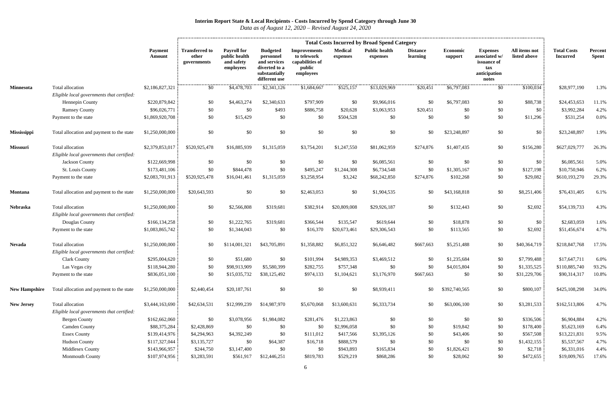|                      |                                                                |                          | <b>Total Costs Incurred by Broad Spend Category</b> |                                                                |                                                                                                 |                                                                              |                            |                                  |                             |                     |                                                                                 |                               |                                       |                         |
|----------------------|----------------------------------------------------------------|--------------------------|-----------------------------------------------------|----------------------------------------------------------------|-------------------------------------------------------------------------------------------------|------------------------------------------------------------------------------|----------------------------|----------------------------------|-----------------------------|---------------------|---------------------------------------------------------------------------------|-------------------------------|---------------------------------------|-------------------------|
|                      |                                                                | <b>Payment</b><br>Amount | <b>Transferred to</b><br>other<br>governments       | <b>Payroll for</b><br>public health<br>and safety<br>employees | <b>Budgeted</b><br>personnel<br>and services<br>diverted to a<br>substantially<br>different use | <b>Improvements</b><br>to telework<br>capabilities of<br>public<br>employees | <b>Medical</b><br>expenses | <b>Public health</b><br>expenses | <b>Distance</b><br>learning | Economic<br>support | <b>Expenses</b><br>associated w/<br>issuance of<br>tax<br>anticipation<br>notes | All items not<br>listed above | <b>Total Costs</b><br><b>Incurred</b> | Percent<br><b>Spent</b> |
| <b>Minnesota</b>     | Total allocation                                               | \$2,186,827,321          | \$0                                                 | \$4,478,703                                                    | \$2,341,126                                                                                     | \$1,684,667                                                                  | \$525,157                  | \$13,029,969                     | \$20,451                    | \$6,797,083         | \$0                                                                             | \$100,034                     | \$28,977,190                          | 1.3%                    |
|                      | Eligible local governments that certified:                     |                          |                                                     |                                                                |                                                                                                 |                                                                              |                            |                                  |                             |                     |                                                                                 |                               |                                       |                         |
|                      | Hennepin County                                                | \$220,879,842            | \$0                                                 | \$4,463,274                                                    | \$2,340,633                                                                                     | \$797,909                                                                    | \$0                        | \$9,966,016                      | \$0                         | \$6,797,083         | \$0                                                                             | \$88,738                      | \$24,453,653                          | 11.1%                   |
|                      | <b>Ramsey County</b>                                           | \$96,026,771             | \$0                                                 | \$0                                                            | \$493                                                                                           | \$886,758                                                                    | \$20,628                   | \$3,063,953                      | \$20,451                    | \$0                 | \$0                                                                             | \$0                           | \$3,992,284                           | 4.2%                    |
|                      | Payment to the state                                           | \$1,869,920,708          | \$0                                                 | \$15,429                                                       | \$0                                                                                             | \$0                                                                          | \$504,528                  | \$0                              | \$0                         | \$0                 | \$0                                                                             | \$11,296                      | \$531,254                             | 0.0%                    |
| Mississippi          | Total allocation and payment to the state                      | \$1,250,000,000          | \$0                                                 | \$0                                                            | \$0                                                                                             | \$0                                                                          | \$0                        | \$0                              | \$0                         | \$23,248,897        | \$0                                                                             | \$0                           | \$23,248,897                          | 1.9%                    |
| Missouri             | Total allocation                                               | \$2,379,853,017          | \$520,925,478                                       | \$16,885,939                                                   | \$1,315,059                                                                                     | \$3,754,201                                                                  | \$1,247,550                | \$81,062,959                     | \$274,876                   | \$1,407,435         | \$0                                                                             | \$156,280                     | \$627,029,777                         | 26.3%                   |
|                      | Eligible local governments that certified:                     |                          |                                                     |                                                                |                                                                                                 |                                                                              |                            |                                  |                             |                     |                                                                                 |                               |                                       |                         |
|                      | Jackson County                                                 | \$122,669,998            | \$0                                                 | \$0                                                            | \$0                                                                                             | \$0                                                                          | \$0                        | \$6,085,561                      | \$0                         | \$0                 | \$0                                                                             | \$0                           | \$6,085,561                           | 5.0%                    |
|                      | St. Louis County                                               | \$173,481,106            | \$0                                                 | \$844,478                                                      | \$0                                                                                             | \$495,247                                                                    | \$1,244,308                | \$6,734,548                      | \$0                         | \$1,305,167         | \$0                                                                             | \$127,198                     | \$10,750,946                          | 6.2%                    |
|                      | Payment to the state                                           | \$2,083,701,913          | \$520,925,478                                       | \$16,041,461                                                   | \$1,315,059                                                                                     | \$3,258,954                                                                  | \$3,242                    | \$68,242,850                     | \$274,876                   | \$102,268           | \$0                                                                             | \$29,082                      | \$610,193,270                         | 29.3%                   |
| Montana              | Total allocation and payment to the state                      | \$1,250,000,000          | \$20,643,593                                        | \$0                                                            | \$0                                                                                             | \$2,463,053                                                                  | \$0                        | \$1,904,535                      | \$0                         | \$43,168,818        | \$0                                                                             | \$8,251,406                   | \$76,431,405                          | 6.1%                    |
| Nebraska             | Total allocation                                               | \$1,250,000,000          | \$0                                                 | \$2,566,808                                                    | \$319,681                                                                                       | \$382,914                                                                    | \$20,809,008               | \$29,926,187                     | \$0                         | \$132,443           | \$0                                                                             | \$2,692                       | \$54,139,733                          | 4.3%                    |
|                      | Eligible local governments that certified:                     |                          |                                                     |                                                                |                                                                                                 |                                                                              |                            |                                  |                             |                     |                                                                                 |                               |                                       |                         |
|                      | Douglas County                                                 | \$166,134,258            | \$0                                                 | \$1,222,765                                                    | \$319,681                                                                                       | \$366,544                                                                    | \$135,547                  | \$619,644                        | \$0                         | \$18,878            | \$0                                                                             | \$0                           | \$2,683,059                           | 1.6%                    |
|                      | Payment to the state                                           | \$1,083,865,742          | \$0                                                 | \$1,344,043                                                    | \$0                                                                                             | \$16,370                                                                     | \$20,673,461               | \$29,306,543                     | \$0                         | \$113,565           | \$0                                                                             | \$2,692                       | \$51,456,674                          | 4.7%                    |
| Nevada               | Total allocation<br>Eligible local governments that certified: | \$1,250,000,000          | \$0                                                 | \$114,001,321                                                  | \$43,705,891                                                                                    | \$1,358,882                                                                  | \$6,851,322                | \$6,646,482                      | \$667,663                   | \$5,251,488         | \$0                                                                             | \$40,364,719                  | \$218,847,768                         | 17.5%                   |
|                      | <b>Clark County</b>                                            | \$295,004,620            | \$0                                                 | \$51,680                                                       | \$0                                                                                             | \$101,994                                                                    | \$4,989,353                | \$3,469,512                      | \$0                         | \$1,235,684         | \$0                                                                             | \$7,799,488                   | \$17,647,711                          | 6.0%                    |
|                      | Las Vegas city                                                 | \$118,944,280            | \$0                                                 | \$98,913,909                                                   | \$5,580,399                                                                                     | \$282,755                                                                    | \$757,348                  | \$0                              | \$0                         | \$4,015,804         | \$0                                                                             | \$1,335,525                   | \$110,885,740                         | 93.2%                   |
|                      | Payment to the state                                           | \$836,051,100            | \$0                                                 | \$15,035,732                                                   | \$38,125,492                                                                                    | \$974,133                                                                    | \$1,104,621                | \$3,176,970                      | \$667,663                   | \$0                 | \$0                                                                             | \$31,229,706                  | \$90,314,317                          | 10.8%                   |
| <b>New Hampshire</b> | Total allocation and payment to the state                      | \$1,250,000,000          | \$2,440,454                                         | \$20,187,761                                                   | \$0                                                                                             | \$0                                                                          | \$0                        | \$8,939,411                      | \$0                         | \$392,740,565       | \$0                                                                             | \$800,107                     | \$425,108,298                         | 34.0%                   |
| <b>New Jersey</b>    | Total allocation                                               | \$3,444,163,690          | \$42,634,531                                        | \$12,999,239                                                   | \$14,987,970                                                                                    | \$5,670,068                                                                  | \$13,600,631               | \$6,333,734                      | \$0                         | \$63,006,100        | \$0                                                                             | \$3,281,533                   | \$162,513,806                         | 4.7%                    |
|                      | Eligible local governments that certified:                     |                          |                                                     |                                                                |                                                                                                 |                                                                              |                            |                                  |                             |                     |                                                                                 |                               |                                       |                         |
|                      | <b>Bergen County</b>                                           | \$162,662,060            | \$0                                                 | \$3,078,956                                                    | \$1,984,082                                                                                     | \$281,476                                                                    | \$1,223,863                | \$0                              | \$0                         | \$0                 | \$0                                                                             | \$336,506                     | \$6,904,884                           | 4.2%                    |
|                      | Camden County                                                  | \$88,375,284             | \$2,428,869                                         | \$0                                                            | \$0                                                                                             | \$0                                                                          | \$2,996,058                | \$0                              | \$0                         | \$19,842            | \$0                                                                             | \$178,400                     | \$5,623,169                           | 6.4%                    |
|                      | <b>Essex County</b>                                            | \$139,414,976            | \$4,294,963                                         | \$4,392,249                                                    | \$0                                                                                             | \$111,012                                                                    | \$417,566                  | \$3,395,126                      | \$0                         | \$43,406            | \$0                                                                             | \$567,508                     | \$13,221,831                          | 9.5%                    |
|                      | <b>Hudson County</b>                                           | \$117,327,044            | \$3,135,727                                         | \$0                                                            | \$64,387                                                                                        | \$16,718                                                                     | \$888,579                  | \$0                              | \$0                         | \$0                 | \$0                                                                             | \$1,432,155                   | \$5,537,567                           | 4.7%                    |
|                      | Middlesex County                                               | \$143,966,957            | \$244,750                                           | \$3,147,400                                                    | \$0                                                                                             | \$0                                                                          | \$943,893                  | \$165,834                        | \$0                         | \$1,826,421         | \$0                                                                             | \$2,718                       | \$6,331,016                           | 4.4%                    |
|                      | <b>Monmouth County</b>                                         | \$107,974,956            | \$3,283,591                                         | \$561,917                                                      | \$12,446,251                                                                                    | \$819,783                                                                    | \$529,219                  | \$868,286                        | \$0                         | \$28,062            | \$0                                                                             | \$472,655                     | \$19,009,765                          | 17.6%                   |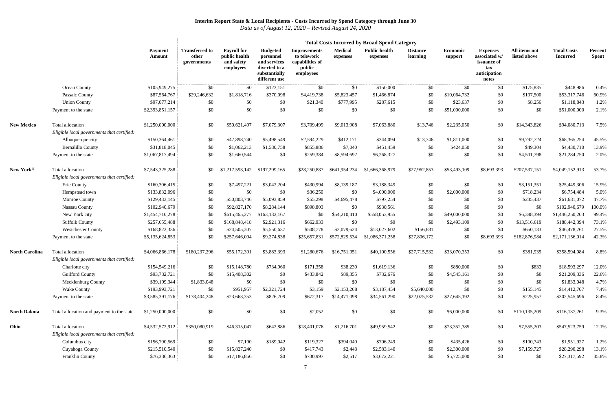|                       |                                                                |                          | <b>Total Costs Incurred by Broad Spend Category</b> |                                                                |                                                                                                 |                                                                              |                            |                                  |                             |                     |                                                                                 |                               |                                       |                         |
|-----------------------|----------------------------------------------------------------|--------------------------|-----------------------------------------------------|----------------------------------------------------------------|-------------------------------------------------------------------------------------------------|------------------------------------------------------------------------------|----------------------------|----------------------------------|-----------------------------|---------------------|---------------------------------------------------------------------------------|-------------------------------|---------------------------------------|-------------------------|
|                       |                                                                | <b>Payment</b><br>Amount | <b>Transferred to</b><br>other<br>governments       | <b>Payroll for</b><br>public health<br>and safety<br>employees | <b>Budgeted</b><br>personnel<br>and services<br>diverted to a<br>substantially<br>different use | <b>Improvements</b><br>to telework<br>capabilities of<br>public<br>employees | <b>Medical</b><br>expenses | <b>Public health</b><br>expenses | <b>Distance</b><br>learning | Economic<br>support | <b>Expenses</b><br>associated w/<br>issuance of<br>tax<br>anticipation<br>notes | All items not<br>listed above | <b>Total Costs</b><br><b>Incurred</b> | Percent<br><b>Spent</b> |
|                       | Ocean County                                                   | \$105,949,275            | \$0                                                 | \$0                                                            | \$123,151                                                                                       | \$0                                                                          | \$0                        | \$150,000                        | \$0                         | \$0                 | \$0                                                                             | \$175,835                     | \$448,986                             | 0.4%                    |
|                       | Passaic County                                                 | \$87,564,767             | \$29,246,632                                        | \$1,818,716                                                    | \$370,098                                                                                       | \$4,419,738                                                                  | \$5,823,457                | \$1,466,874                      | \$0                         | \$10,064,732        | \$0                                                                             | \$107,500                     | \$53,317,746                          | 60.9%                   |
|                       | <b>Union County</b>                                            | \$97,077,214             | \$0                                                 | \$0                                                            | \$0                                                                                             | \$21,340                                                                     | \$777,995                  | \$287,615                        | \$0                         | \$23,637            | \$0                                                                             | \$8,256                       | \$1,118,843                           | 1.2%                    |
|                       | Payment to the state                                           | \$2,393,851,157          | \$0                                                 | \$0                                                            | \$0                                                                                             | \$0                                                                          | \$0                        | \$0                              | \$0                         | \$51,000,000        | \$0                                                                             | \$0                           | \$51,000,000                          | 2.1%                    |
| <b>New Mexico</b>     | Total allocation<br>Eligible local governments that certified: | \$1,250,000,000          | \$0                                                 | \$50,621,497                                                   | \$7,079,307                                                                                     | \$3,709,499                                                                  | \$9,013,908                | \$7,063,880                      | \$13,746                    | \$2,235,050         | \$0                                                                             | \$14,343,826                  | \$94,080,713                          | 7.5%                    |
|                       | Albuquerque city                                               | \$150,364,461            | \$0                                                 | \$47,898,740                                                   | \$5,498,549                                                                                     | \$2,594,229                                                                  | \$412,171                  | \$344,094                        | \$13,746                    | \$1,811,000         | \$0                                                                             | \$9,792,724                   | \$68,365,254                          | 45.5%                   |
|                       | <b>Bernalillo County</b>                                       | \$31,818,045             | \$0                                                 | \$1,062,213                                                    | \$1,580,758                                                                                     | \$855,886                                                                    | \$7,040                    | \$451,459                        | \$0                         | \$424,050           | \$0                                                                             | \$49,304                      | \$4,430,710                           | 13.9%                   |
|                       | Payment to the state                                           | \$1,067,817,494          | \$0                                                 | \$1,660,544                                                    | \$0                                                                                             | \$259,384                                                                    | \$8,594,697                | \$6,268,327                      | \$0                         | \$0                 | \$0                                                                             | \$4,501,798                   | \$21,284,750                          | 2.0%                    |
| New Yorkiii           | Total allocation                                               | \$7,543,325,288          | \$0                                                 | \$1,217,593,142                                                | \$197,299,165                                                                                   | \$28,250,887                                                                 | \$641,954,234              | \$1,666,368,979                  | \$27,962,853                | \$53,493,109        | \$8,693,393                                                                     | \$207,537,151                 | \$4,049,152,913                       | 53.7%                   |
|                       | Eligible local governments that certified:                     |                          |                                                     |                                                                |                                                                                                 |                                                                              |                            |                                  |                             |                     |                                                                                 |                               |                                       |                         |
|                       | Erie County                                                    | \$160,306,415            | \$0                                                 | \$7,497,221                                                    | \$3,042,204                                                                                     | \$430,994                                                                    | \$8,139,187                | \$3,188,349                      | \$0                         | \$0                 | \$0                                                                             | \$3,151,351                   | \$25,449,306                          | 15.9%                   |
|                       | Hempstead town                                                 | \$133,832,096            | \$0                                                 | \$0                                                            | \$0                                                                                             | \$36,250                                                                     | \$0                        | \$4,000,000                      | \$0                         | \$2,000,000         | \$0                                                                             | \$718,234                     | \$6,754,484                           | 5.0%                    |
|                       | <b>Monroe County</b>                                           | \$129,433,145            | \$0                                                 | \$50,803,746                                                   | \$5,093,859                                                                                     | \$55,298                                                                     | \$4,695,478                | \$797,254                        | \$0                         | \$0                 | \$0                                                                             | \$235,437                     | \$61,681,072                          | 47.7%                   |
|                       | Nassau County                                                  | \$102,940,679            | \$0                                                 | \$92,827,170                                                   | \$8,284,144                                                                                     | \$898,803                                                                    | \$0                        | \$930,561                        | \$0                         | -\$0                | \$0                                                                             | \$0                           | \$102,940,679                         | 100.0%                  |
|                       | New York city                                                  | \$1,454,710,278          | \$0                                                 | \$615,465,277                                                  | \$163,132,167                                                                                   | \$0                                                                          | \$54,210,410               | \$558,053,955                    | \$0                         | \$49,000,000        | \$0                                                                             | \$6,388,394                   | \$1,446,250,203                       | 99.4%                   |
|                       | <b>Suffolk County</b>                                          | \$257,655,488            | \$0                                                 | \$168,848,418                                                  | \$2,921,316                                                                                     | \$662,933                                                                    | \$0                        | \$0                              | \$0                         | \$2,493,109         | \$0                                                                             | \$13,516,619                  | \$188,442,394                         | 73.1%                   |
|                       | <b>Westchester County</b>                                      | \$168,822,336            | \$0                                                 | \$24,505,307                                                   | \$5,550,637                                                                                     | \$508,778                                                                    | \$2,079,624                | \$13,027,602                     | \$156,681                   | \$0                 | \$0                                                                             | \$650,133                     | \$46,478,761                          | 27.5%                   |
|                       | Payment to the state                                           | \$5,135,624,853          | \$0                                                 | \$257,646,004                                                  | \$9,274,838                                                                                     | \$25,657,831                                                                 | \$572,829,534              | \$1,086,371,258                  | \$27,806,172                | \$0                 | \$8,693,393                                                                     | \$182,876,984                 | \$2,171,156,014                       | 42.3%                   |
| <b>North Carolina</b> | Total allocation                                               | \$4,066,866,178          | \$180,237,296                                       | \$55,172,391                                                   | \$3,883,393                                                                                     | \$1,280,676                                                                  | \$16,751,951               | \$40,100,556                     | \$27,715,532                | \$33,070,353        | \$0                                                                             | \$381,935                     | \$358,594,084                         | 8.8%                    |
|                       | Eligible local governments that certified:                     |                          |                                                     |                                                                |                                                                                                 |                                                                              |                            |                                  |                             |                     |                                                                                 |                               |                                       |                         |
|                       | Charlotte city                                                 | \$154,549,216            | \$0                                                 | \$15,148,780                                                   | \$734,960                                                                                       | \$171,358                                                                    | \$38,230                   | \$1,619,136                      | \$0                         | \$880,000           | \$0                                                                             | \$833                         | \$18,593,297                          | 12.0%                   |
|                       | <b>Guilford County</b>                                         | \$93,732,721             | \$0                                                 | \$15,408,302                                                   | \$0                                                                                             | \$433,842                                                                    | \$89,355                   | \$732,676                        | \$0                         | \$4,545,161         | \$0                                                                             | \$0                           | \$21,209,336                          | 22.6%                   |
|                       | Mecklenburg County                                             | \$39,199,344             | \$1,833,048                                         | \$0                                                            | \$0                                                                                             | \$0                                                                          | \$0                        | \$0                              | \$0                         | \$0                 | \$0                                                                             | \$0                           | \$1,833,048                           | 4.7%                    |
|                       | <b>Wake County</b>                                             | \$193,993,721            | \$0                                                 | \$951,957                                                      | \$2,321,724                                                                                     | \$3,159                                                                      | \$2,153,268                | \$3,187,454                      | \$5,640,000                 | \$0                 | \$0                                                                             | \$155,145                     | \$14,412,707                          | 7.4%                    |
|                       | Payment to the state                                           | \$3,585,391,176          | \$178,404,248                                       | \$23,663,353                                                   | \$826,709                                                                                       | \$672,317                                                                    | \$14,471,098               | \$34,561,290                     | \$22,075,532                | \$27,645,192        | \$0                                                                             | \$225,957                     | \$302,545,696                         | 8.4%                    |
| <b>North Dakota</b>   | Total allocation and payment to the state                      | \$1,250,000,000          | \$0                                                 | \$0                                                            | \$0                                                                                             | \$2,052                                                                      | \$0                        | \$0                              | \$0                         | \$6,000,000         | \$0                                                                             | \$110,135,209                 | \$116,137,261                         | 9.3%                    |
| Ohio                  | Total allocation                                               | \$4,532,572,912          | \$350,080,919                                       | \$46,315,047                                                   | \$642,886                                                                                       | \$18,401,076                                                                 | \$1,216,701                | \$49,959,542                     | \$0                         | \$73,352,385        | \$0                                                                             | \$7,555,203                   | \$547,523,759                         | 12.1%                   |
|                       | Eligible local governments that certified:                     |                          |                                                     |                                                                |                                                                                                 |                                                                              |                            |                                  |                             |                     |                                                                                 |                               |                                       |                         |
|                       | Columbus city                                                  | \$156,790,569            | \$0                                                 | \$7,100                                                        | \$189,042                                                                                       | \$119,327                                                                    | \$394,040                  | \$706,249                        | \$0                         | \$435,426           | \$0                                                                             | \$100,743                     | \$1,951,927                           | 1.2%                    |
|                       | Cuyahoga County                                                | \$215,510,540            | \$0                                                 | \$15,827,240                                                   | \$0                                                                                             | \$417,743                                                                    | \$2,448                    | \$2,583,140                      | \$0                         | \$2,300,000         | \$0                                                                             | \$7,159,727                   | \$28,290,298                          | 13.1%                   |
|                       | Franklin County                                                | \$76,336,363             | \$0                                                 | \$17,186,856                                                   | \$0                                                                                             | \$730,997                                                                    | \$2,517                    | \$3,672,221                      | \$0                         | \$5,725,000         | \$0                                                                             | \$0                           | \$27,317,592                          | 35.8%                   |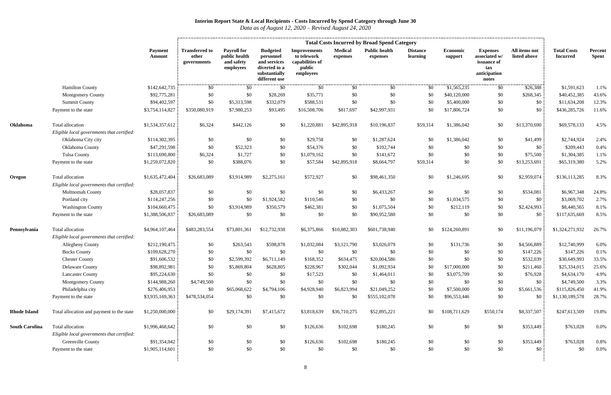|                       |                                                                | <b>Total Costs Incurred by Broad Spend Category</b> |                                               |                                                                |                                                                                                 |                                                                              |                            |                                  |                             |                     |                                                                                 |                               |                                       |                         |
|-----------------------|----------------------------------------------------------------|-----------------------------------------------------|-----------------------------------------------|----------------------------------------------------------------|-------------------------------------------------------------------------------------------------|------------------------------------------------------------------------------|----------------------------|----------------------------------|-----------------------------|---------------------|---------------------------------------------------------------------------------|-------------------------------|---------------------------------------|-------------------------|
|                       |                                                                | <b>Payment</b><br>Amount                            | <b>Transferred to</b><br>other<br>governments | <b>Payroll for</b><br>public health<br>and safety<br>employees | <b>Budgeted</b><br>personnel<br>and services<br>diverted to a<br>substantially<br>different use | <b>Improvements</b><br>to telework<br>capabilities of<br>public<br>employees | <b>Medical</b><br>expenses | <b>Public health</b><br>expenses | <b>Distance</b><br>learning | Economic<br>support | <b>Expenses</b><br>associated w/<br>issuance of<br>tax<br>anticipation<br>notes | All items not<br>listed above | <b>Total Costs</b><br><b>Incurred</b> | Percent<br><b>Spent</b> |
|                       | <b>Hamilton County</b>                                         | \$142,642,735                                       | \$0                                           | \$0                                                            | \$0                                                                                             | \$0                                                                          | \$0                        | \$0                              | \$0                         | \$1,565,235         | \$0                                                                             | \$26,388                      | \$1,591,623                           | 1.1%                    |
|                       | <b>Montgomery County</b>                                       | \$92,775,281                                        | \$0                                           | \$0                                                            | \$28,269                                                                                        | \$35,771                                                                     | \$0                        | \$0                              | \$0                         | \$40,120,000        | \$0                                                                             | \$268,345                     | \$40,452,385                          | 43.6%                   |
|                       | <b>Summit County</b>                                           | \$94,402,597                                        | \$0                                           | \$5,313,598                                                    | \$332,079                                                                                       | \$588,531                                                                    | \$0                        | \$0                              | \$0                         | \$5,400,000         | \$0                                                                             | \$0                           | \$11,634,208                          | 12.3%                   |
|                       | Payment to the state                                           | \$3,754,114,827                                     | \$350,080,919                                 | \$7,980,253                                                    | \$93,495                                                                                        | \$16,508,706                                                                 | \$817,697                  | \$42,997,931                     | \$0                         | \$17,806,724        | \$0                                                                             | \$0                           | \$436,285,726                         | 11.6%                   |
| Oklahoma              | Total allocation<br>Eligible local governments that certified: | \$1,534,357,612                                     | \$6,324                                       | \$442,126                                                      | \$0                                                                                             | \$1,220,881                                                                  | \$42,895,918               | \$10,196,837                     | \$59,314                    | \$1,386,042         | \$0                                                                             | \$13,370,690                  | \$69,578,133                          | 4.5%                    |
|                       | Oklahoma City city                                             | \$114,302,395                                       | \$0                                           | \$0                                                            | \$0                                                                                             | \$29,758                                                                     | \$0                        | \$1,287,624                      | \$0                         | \$1,386,042         | \$0                                                                             | \$41,499                      | \$2,744,924                           | 2.4%                    |
|                       | Oklahoma County                                                | \$47,291,598                                        | \$0                                           | \$52,323                                                       | \$0                                                                                             | \$54,376                                                                     | \$0                        | \$102,744                        | \$0                         | \$0                 | \$0                                                                             | \$0                           | \$209,443                             | 0.4%                    |
|                       | <b>Tulsa County</b>                                            | \$113,690,800                                       | \$6,324                                       | \$1,727                                                        | \$0                                                                                             | \$1,079,162                                                                  | \$0                        | \$141,672                        | \$0                         | \$0                 | \$0                                                                             | \$75,500                      | \$1,304,385                           | 1.1%                    |
|                       | Payment to the state                                           | \$1,259,072,820                                     | \$0                                           | \$388,076                                                      | \$0                                                                                             | \$57,584                                                                     | \$42,895,918               | \$8,664,797                      | \$59,314                    | \$0                 | \$0                                                                             | \$13,253,691                  | \$65,319,380                          | 5.2%                    |
| Oregon                | Total allocation<br>Eligible local governments that certified: | \$1,635,472,404                                     | \$26,683,089                                  | \$3,914,989                                                    | \$2,275,161                                                                                     | \$572,927                                                                    | \$0                        | \$98,461,350                     | \$0                         | \$1,246,695         | \$0                                                                             | \$2,959,074                   | \$136,113,285                         | 8.3%                    |
|                       | Multnomah County                                               | \$28,057,837                                        | \$0                                           | \$0                                                            | \$0                                                                                             | \$0                                                                          | \$0                        | \$6,433,267                      | \$0                         | \$0                 | \$0                                                                             | \$534,081                     | \$6,967,348                           | 24.8%                   |
|                       | Portland city                                                  | \$114,247,256                                       | \$0                                           | \$0                                                            | \$1,924,582                                                                                     | \$110,546                                                                    | \$0                        | \$0                              | \$0                         | \$1,034,575         | \$0                                                                             | \$0                           | \$3,069,702                           | 2.7%                    |
|                       | <b>Washington County</b>                                       | \$104,660,475                                       | \$0                                           | \$3,914,989                                                    | \$350,579                                                                                       | \$462,381                                                                    | \$0                        | \$1,075,504                      | \$0                         | \$212,119           | \$0                                                                             | \$2,424,993                   | \$8,440,565                           | 8.1%                    |
|                       | Payment to the state                                           | \$1,388,506,837                                     | \$26,683,089                                  | \$0                                                            | \$0                                                                                             | \$0                                                                          | \$0                        | \$90,952,580                     | \$0                         | \$0                 | \$0                                                                             | \$0                           | \$117,635,669                         | 8.5%                    |
| Pennsylvania          | Total allocation                                               | \$4,964,107,464                                     | \$483,283,554                                 | \$73,801,361                                                   | \$12,732,938                                                                                    | \$6,375,866                                                                  | \$10,882,303               | \$601,738,940                    | \$0                         | \$124,260,891       | \$0                                                                             | \$11,196,079                  | \$1,324,271,932                       | 26.7%                   |
|                       | Eligible local governments that certified:                     |                                                     |                                               |                                                                |                                                                                                 |                                                                              |                            |                                  |                             |                     |                                                                                 |                               |                                       |                         |
|                       | <b>Allegheny County</b>                                        | \$212,190,475                                       | \$0                                           | \$263,543                                                      | \$598,878                                                                                       | \$1,032,084                                                                  | \$3,121,790                | \$3,026,079                      | \$0                         | \$131,736           | \$0                                                                             | \$4,566,889                   | \$12,740,999                          | 6.0%                    |
|                       | <b>Bucks County</b>                                            | \$109,628,270                                       | \$0                                           | \$0                                                            | \$0                                                                                             | \$0                                                                          | \$0                        | \$0                              | \$0                         | \$0                 | \$0                                                                             | \$147,226                     | \$147,226                             | 0.1%                    |
|                       | <b>Chester County</b>                                          | \$91,606,532                                        | \$0                                           | \$2,599,392                                                    | \$6,711,149                                                                                     | \$168,352                                                                    | \$634,475                  | \$20,004,586                     | \$0                         | \$0                 | \$0                                                                             | \$532,039                     | \$30,649,993                          | 33.5%                   |
|                       | <b>Delaware County</b>                                         | \$98,892,981                                        | \$0                                           | \$5,869,804                                                    | \$628,805                                                                                       | \$228,967                                                                    | \$302,044                  | \$1,092,934                      | \$0                         | \$17,000,000        | \$0                                                                             | \$211,460                     | \$25,334,015                          | 25.6%                   |
|                       | <b>Lancaster County</b>                                        | \$95,224,630                                        | \$0                                           | \$0                                                            | \$0                                                                                             | \$17,523                                                                     | \$0                        | \$1,464,011                      | \$0                         | \$3,075,709         | \$0                                                                             | \$76,928                      | \$4,634,170                           | 4.9%                    |
|                       | <b>Montgomery County</b>                                       | \$144,988,260                                       | \$4,749,500                                   | \$0                                                            | \$0                                                                                             | \$0                                                                          | \$0                        | \$0                              | \$0                         | \$0                 | \$0                                                                             | \$0                           | \$4,749,500                           | 3.3%                    |
|                       | Philadelphia city                                              | \$276,406,953                                       | \$0                                           | \$65,068,622                                                   | \$4,794,106                                                                                     | \$4,928,940                                                                  | \$6,823,994                | \$21,049,252                     | \$0                         | \$7,500,000         | \$0                                                                             | \$5,661,536                   | \$115,826,450                         | 41.9%                   |
|                       | Payment to the state                                           | \$3,935,169,363                                     | \$478,534,054                                 | \$0                                                            | \$0                                                                                             | \$0                                                                          | \$0                        | \$555,102,078                    | \$0                         | \$96,553,446        | \$0                                                                             | \$0                           | \$1,130,189,578                       | 28.7%                   |
| <b>Rhode Island</b>   | Total allocation and payment to the state                      | \$1,250,000,000                                     | \$0                                           | \$29,174,391                                                   | \$7,415,672                                                                                     | \$3,818,639                                                                  | \$36,710,275               | \$52,895,221                     | \$0                         | \$108,711,629       | \$550,174                                                                       | \$8,337,507                   | \$247,613,509                         | 19.8%                   |
| <b>South Carolina</b> | Total allocation<br>Eligible local governments that certified: | \$1,996,468,642                                     | \$0                                           | \$0                                                            | \$0                                                                                             | \$126,636                                                                    | \$102,698                  | \$180,245                        | \$0                         | \$0                 | \$0                                                                             | \$353,449                     | \$763,028                             | $0.0\%$                 |
|                       | Greenville County                                              | \$91,354,042                                        | \$0                                           | \$0                                                            | \$0                                                                                             | \$126,636                                                                    | \$102,698                  | \$180,245                        | \$0                         | \$0                 | \$0                                                                             | \$353,449                     | \$763,028                             | 0.8%                    |
|                       | Payment to the state                                           | \$1,905,114,601                                     | \$0                                           | \$0                                                            | \$0                                                                                             | \$0                                                                          | \$0                        | \$0                              | \$0                         | \$0                 | \$0                                                                             | \$0                           | \$0                                   | 0.0%                    |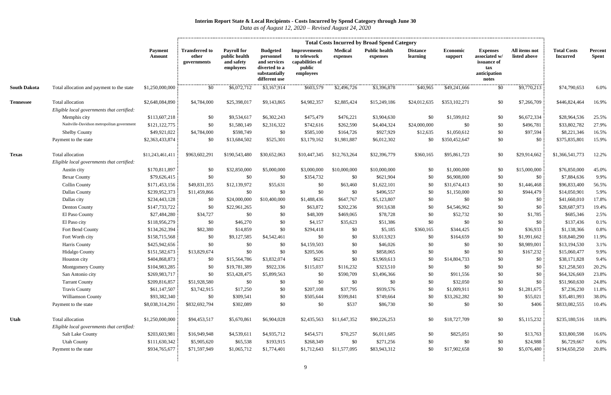|                     |                                                                |                          |                                               | <b>Total Costs Incurred by Broad Spend Category</b>            |                                                                                                 |                                                                              |                            |                                  |                             |                     |                                                                                 |                               |                                       |                         |  |
|---------------------|----------------------------------------------------------------|--------------------------|-----------------------------------------------|----------------------------------------------------------------|-------------------------------------------------------------------------------------------------|------------------------------------------------------------------------------|----------------------------|----------------------------------|-----------------------------|---------------------|---------------------------------------------------------------------------------|-------------------------------|---------------------------------------|-------------------------|--|
|                     |                                                                | <b>Payment</b><br>Amount | <b>Transferred to</b><br>other<br>governments | <b>Payroll for</b><br>public health<br>and safety<br>employees | <b>Budgeted</b><br>personnel<br>and services<br>diverted to a<br>substantially<br>different use | <b>Improvements</b><br>to telework<br>capabilities of<br>public<br>employees | <b>Medical</b><br>expenses | <b>Public health</b><br>expenses | <b>Distance</b><br>learning | Economic<br>support | <b>Expenses</b><br>associated w/<br>issuance of<br>tax<br>anticipation<br>notes | All items not<br>listed above | <b>Total Costs</b><br><b>Incurred</b> | Percent<br><b>Spent</b> |  |
| <b>South Dakota</b> | Total allocation and payment to the state                      | \$1,250,000,000          | \$0                                           | \$6,072,712                                                    | \$3,167,914                                                                                     | \$603,579                                                                    | \$2,496,726                | \$3,396,878                      | \$40,965                    | \$49,241,666        | \$0                                                                             | \$9,770,213                   | \$74,790,653                          | 6.0%                    |  |
| <b>Tennessee</b>    | Total allocation<br>Eligible local governments that certified: | \$2,648,084,890          | \$4,784,000                                   | \$25,398,017                                                   | \$9,143,865                                                                                     | \$4,982,357                                                                  | \$2,885,424                | \$15,249,186                     | \$24,012,635                | \$353,102,271       | \$0                                                                             | \$7,266,709                   | \$446,824,464                         | 16.9%                   |  |
|                     | Memphis city                                                   | \$113,607,218            | \$0                                           | \$9,534,617                                                    | \$6,302,243                                                                                     | \$475,479                                                                    | \$476,221                  | \$3,904,630                      | \$0                         | \$1,599,012         | \$0                                                                             | \$6,672,334                   | \$28,964,536                          | 25.5%                   |  |
|                     | Nashville-Davidson metropolitan government                     | \$121,122,775            | \$0                                           | \$1,580,149                                                    | \$2,316,322                                                                                     | \$742,616                                                                    | \$262,590                  | \$4,404,324                      | \$24,000,000                | \$0                 | \$0                                                                             | \$496,781                     | \$33,802,782                          | 27.9%                   |  |
|                     | <b>Shelby County</b>                                           | \$49,921,022             | \$4,784,000                                   | \$598,749                                                      | \$0                                                                                             | \$585,100                                                                    | \$164,726                  | \$927,929                        | \$12,635                    | \$1,050,612         | \$0                                                                             | \$97,594                      | \$8,221,346                           | 16.5%                   |  |
|                     | Payment to the state                                           | \$2,363,433,874          | \$0                                           | \$13,684,502                                                   | \$525,301                                                                                       | \$3,179,162                                                                  | \$1,981,887                | \$6,012,302                      | \$0                         | \$350,452,647       | \$0                                                                             | \$0                           | \$375,835,801                         | 15.9%                   |  |
| <b>Texas</b>        | Total allocation                                               | \$11,243,461,411         | \$963,602,291                                 | \$190,543,480                                                  | \$30,652,063                                                                                    | \$10,447,345                                                                 | \$12,763,264               | \$32,396,779                     | \$360,165                   | \$95,861,723        | \$0                                                                             | \$29,914,662                  | \$1,366,541,773                       | 12.2%                   |  |
|                     | Eligible local governments that certified:                     |                          |                                               |                                                                |                                                                                                 |                                                                              |                            |                                  |                             |                     |                                                                                 |                               |                                       |                         |  |
|                     | Austin city                                                    | \$170,811,897            | \$0                                           | \$32,850,000                                                   | \$5,000,000                                                                                     | \$3,000,000                                                                  | \$10,000,000               | \$10,000,000                     | \$0                         | \$1,000,000         | \$0                                                                             | \$15,000,000                  | \$76,850,000                          | 45.0%                   |  |
|                     | <b>Bexar County</b>                                            | \$79,626,415             | \$0                                           | \$0                                                            | \$0                                                                                             | \$354,732                                                                    | \$0                        | \$621,904                        | \$0                         | \$6,908,000         | \$0                                                                             | \$0                           | \$7,884,636                           | 9.9%                    |  |
|                     | <b>Collin County</b>                                           | \$171,453,156            | \$49,831,355                                  | \$12,139,972                                                   | \$55,631                                                                                        | \$0                                                                          | \$63,460                   | \$1,622,101                      | \$0                         | \$31,674,413        | \$0                                                                             | \$1,446,468                   | \$96,833,400                          | 56.5%                   |  |
|                     | <b>Dallas County</b>                                           | \$239,952,373            | \$11,459,866                                  | \$0                                                            | \$0                                                                                             | \$0                                                                          | \$0                        | \$496,557                        | \$0                         | \$1,150,000         | \$0                                                                             | \$944,479                     | \$14,050,901                          | 5.9%                    |  |
|                     | Dallas city                                                    | \$234,443,128            | \$0                                           | \$24,000,000                                                   | \$10,400,000                                                                                    | \$1,488,436                                                                  | \$647,767                  | \$5,123,807                      | \$0                         | \$0                 | \$0                                                                             | \$0                           | \$41,660,010                          | 17.8%                   |  |
|                     | Denton County                                                  | \$147,733,722            | \$0                                           | \$22,961,265                                                   | \$0                                                                                             | \$63,872                                                                     | \$202,236                  | \$913,638                        | \$0                         | \$4,546,962         | \$0                                                                             | \$0                           | \$28,687,973                          | 19.4%                   |  |
|                     | El Paso County                                                 | \$27,484,280             | \$34,727                                      | \$0                                                            | \$0                                                                                             | \$48,309                                                                     | \$469,065                  | \$78,728                         | \$0                         | \$52,732            | \$0                                                                             | \$1,785                       | \$685,346                             | 2.5%                    |  |
|                     | El Paso city                                                   | \$118,956,279            | \$0                                           | \$46,270                                                       | \$0                                                                                             | \$4,157                                                                      | \$35,623                   | \$51,386                         | \$0                         | \$0                 | \$0                                                                             | \$0                           | \$137,436                             | 0.1%                    |  |
|                     | Fort Bend County                                               | \$134,262,394            | \$82,380                                      | \$14,859                                                       | \$0                                                                                             | \$294,418                                                                    | \$0                        | \$5,185                          | \$360,165                   | \$344,425           | \$0                                                                             | \$36,933                      | \$1,138,366                           | 0.8%                    |  |
|                     | Fort Worth city                                                | \$158,715,568            | \$0                                           | \$9,127,585                                                    | \$4,542,461                                                                                     | \$0                                                                          | \$0                        | \$3,013,923                      | \$0                         | \$164,659           | \$0                                                                             | \$1,991,662                   | \$18,840,290                          | 11.9%                   |  |
|                     | Harris County                                                  | \$425,942,656            | \$0                                           | \$0                                                            | \$0                                                                                             | \$4,159,503                                                                  | \$0                        | \$46,026                         | \$0                         | \$0                 | \$0                                                                             | \$8,989,001                   | \$13,194,530                          | 3.1%                    |  |
|                     | Hidalgo County                                                 | \$151,582,673            | \$13,829,674                                  | \$0                                                            | \$0                                                                                             | \$205,506                                                                    | \$0                        | \$858,065                        | \$0                         | \$0                 | \$0                                                                             | \$167,232                     | \$15,060,477                          | 9.9%                    |  |
|                     | Houston city                                                   | \$404,868,873            | \$0                                           | \$15,564,786                                                   | \$3,832,074                                                                                     | \$623                                                                        | \$0                        | \$3,969,613                      | \$0                         | \$14,804,733        | \$0                                                                             | \$0                           | \$38,171,828                          | 9.4%                    |  |
|                     | <b>Montgomery County</b>                                       | \$104,983,285            | \$0                                           | \$19,781,389                                                   | \$922,336                                                                                       | \$115,037                                                                    | \$116,232                  | \$323,510                        | \$0                         | \$0                 | \$0                                                                             | \$0                           | \$21,258,503                          | 20.2%                   |  |
|                     | San Antonio city                                               | \$269,983,717            | \$0                                           | \$53,428,475                                                   | \$5,899,563                                                                                     | \$0                                                                          | \$590,709                  | \$3,496,366                      | \$0                         | \$911,556           | \$0                                                                             | \$0                           | \$64,326,669                          | 23.8%                   |  |
|                     | <b>Tarrant County</b>                                          | \$209,816,857            | \$51,928,580                                  | \$0                                                            | \$0                                                                                             | \$0                                                                          | \$0                        | \$0                              | \$0                         | \$32,050            | \$0                                                                             | \$0                           | \$51,960,630                          | 24.8%                   |  |
|                     | <b>Travis County</b>                                           | \$61,147,507             | \$3,742,915                                   | \$17,250                                                       | \$0                                                                                             | \$207,108                                                                    | \$37,795                   | \$939,576                        | \$0                         | \$1,009,911         | \$0                                                                             | \$1,281,675                   | \$7,236,230                           | 11.8%                   |  |
|                     | Williamson County                                              | \$93,382,340             | \$0                                           | \$309,541                                                      | \$0                                                                                             | \$505,644                                                                    | \$599,841                  | \$749,664                        | \$0                         | \$33,262,282        | \$0                                                                             | \$55,021                      | \$35,481,993                          | 38.0%                   |  |
|                     | Payment to the state                                           | \$8,038,314,291          | \$832,692,794                                 | \$302,089                                                      | \$0                                                                                             | \$0                                                                          | \$537                      | \$86,730                         | \$0                         | \$0                 | \$0                                                                             | \$406                         | \$833,082,555                         | 10.4%                   |  |
| Utah                | Total allocation                                               | \$1,250,000,000          | \$94,453,517                                  | \$5,670,861                                                    | \$6,904,028                                                                                     | \$2,435,563                                                                  | \$11,647,352               | \$90,226,253                     | \$0                         | \$18,727,709        | \$0                                                                             | \$5,115,232                   | \$235,180,516                         | 18.8%                   |  |
|                     | Eligible local governments that certified:                     |                          |                                               |                                                                |                                                                                                 |                                                                              |                            |                                  |                             |                     |                                                                                 |                               |                                       |                         |  |
|                     | <b>Salt Lake County</b>                                        | \$203,603,981            | \$16,949,948                                  | \$4,539,611                                                    | \$4,935,712                                                                                     | \$454,571                                                                    | \$70,257                   | \$6,011,685                      | \$0                         | \$825,051           | \$0                                                                             | \$13,763                      | \$33,800,598                          | 16.6%                   |  |
|                     | <b>Utah County</b>                                             | \$111,630,342            | \$5,905,620                                   | \$65,538                                                       | \$193,915                                                                                       | \$268,349                                                                    | \$0                        | \$271,256                        | \$0                         | \$0                 | \$0                                                                             | \$24,988                      | \$6,729,667                           | 6.0%                    |  |
|                     | Payment to the state                                           | \$934,765,677            | \$71,597,949                                  | \$1,065,712                                                    | \$1,774,401                                                                                     | \$1,712,643                                                                  | \$11,577,095               | \$83,943,312                     | \$0                         | \$17,902,658        | \$0                                                                             | \$5,076,480                   | \$194,650,250                         | 20.8%                   |  |